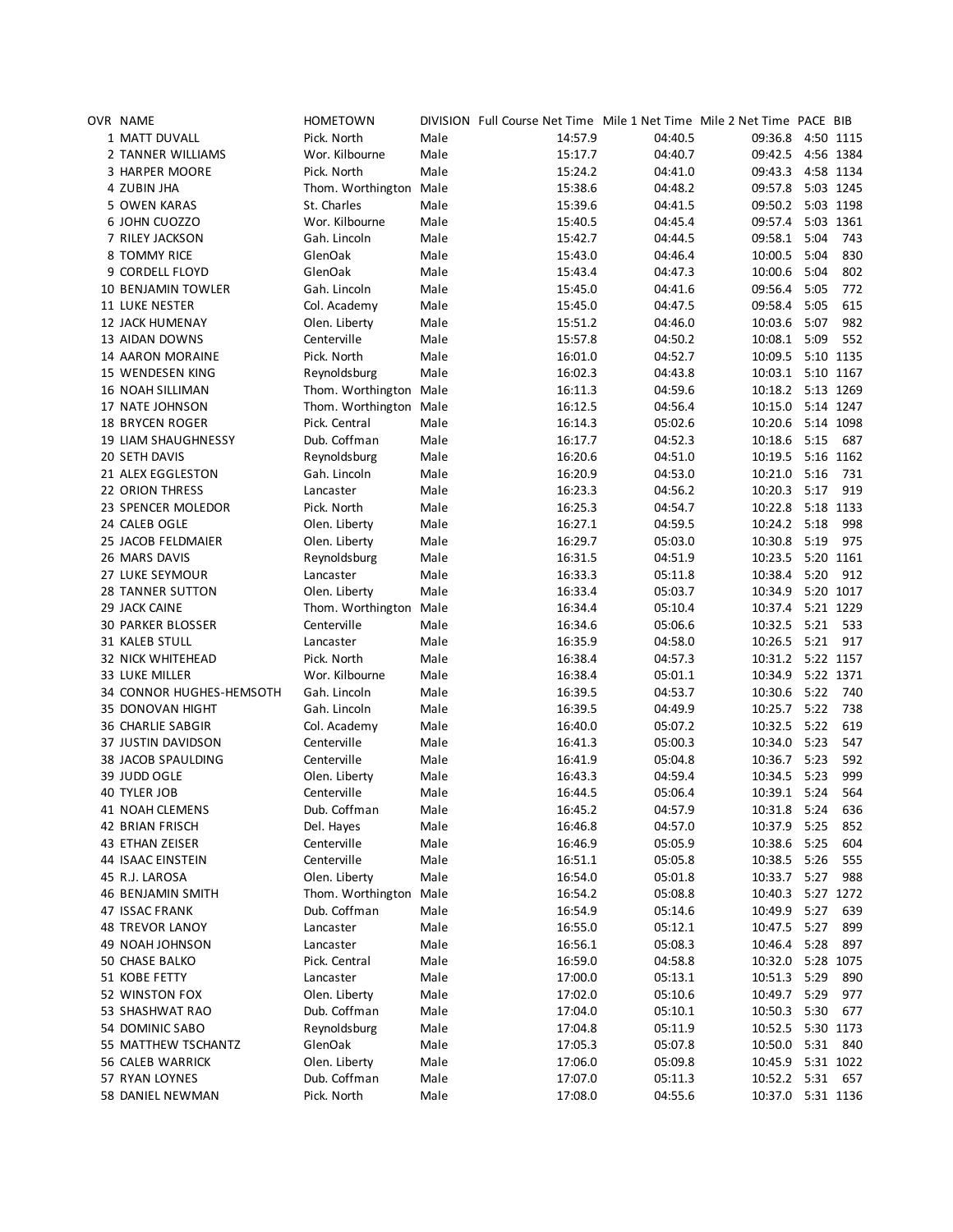| OVR NAME                 | <b>HOMETOWN</b>        |      | DIVISION Full Course Net Time Mile 1 Net Time Mile 2 Net Time PACE BIB |         |                   |      |           |
|--------------------------|------------------------|------|------------------------------------------------------------------------|---------|-------------------|------|-----------|
| 1 MATT DUVALL            | Pick. North            | Male | 14:57.9                                                                | 04:40.5 | 09:36.8           |      | 4:50 1115 |
| 2 TANNER WILLIAMS        | Wor. Kilbourne         | Male | 15:17.7                                                                | 04:40.7 | 09:42.5           |      | 4:56 1384 |
| 3 HARPER MOORE           | Pick. North            | Male | 15:24.2                                                                | 04:41.0 | 09:43.3           |      | 4:58 1134 |
| 4 ZUBIN JHA              | Thom. Worthington Male |      | 15:38.6                                                                | 04:48.2 | 09:57.8           |      | 5:03 1245 |
| 5 OWEN KARAS             | St. Charles            | Male | 15:39.6                                                                | 04:41.5 | 09:50.2           |      | 5:03 1198 |
| 6 JOHN CUOZZO            | Wor. Kilbourne         | Male | 15:40.5                                                                | 04:45.4 | 09:57.4           |      | 5:03 1361 |
| 7 RILEY JACKSON          | Gah. Lincoln           | Male | 15:42.7                                                                | 04:44.5 | 09:58.1           | 5:04 | 743       |
| 8 TOMMY RICE             | GlenOak                | Male | 15:43.0                                                                | 04:46.4 | 10:00.5           | 5:04 | 830       |
| 9 CORDELL FLOYD          | GlenOak                | Male | 15:43.4                                                                | 04:47.3 | 10:00.6           | 5:04 | 802       |
|                          | Gah. Lincoln           |      |                                                                        |         |                   |      |           |
| 10 BENJAMIN TOWLER       |                        | Male | 15:45.0                                                                | 04:41.6 | 09:56.4           | 5:05 | 772       |
| 11 LUKE NESTER           | Col. Academy           | Male | 15:45.0                                                                | 04:47.5 | 09:58.4           | 5:05 | 615       |
| <b>12 JACK HUMENAY</b>   | Olen. Liberty          | Male | 15:51.2                                                                | 04:46.0 | 10:03.6           | 5:07 | 982       |
| 13 AIDAN DOWNS           | Centerville            | Male | 15:57.8                                                                | 04:50.2 | 10:08.1           | 5:09 | 552       |
| 14 AARON MORAINE         | Pick. North            | Male | 16:01.0                                                                | 04:52.7 | 10:09.5           |      | 5:10 1135 |
| 15 WENDESEN KING         | Reynoldsburg           | Male | 16:02.3                                                                | 04:43.8 | 10:03.1 5:10 1167 |      |           |
| 16 NOAH SILLIMAN         | Thom. Worthington Male |      | 16:11.3                                                                | 04:59.6 | 10:18.2           |      | 5:13 1269 |
| 17 NATE JOHNSON          | Thom. Worthington Male |      | 16:12.5                                                                | 04:56.4 | 10:15.0           |      | 5:14 1247 |
| 18 BRYCEN ROGER          | Pick. Central          | Male | 16:14.3                                                                | 05:02.6 | 10:20.6           |      | 5:14 1098 |
| 19 LIAM SHAUGHNESSY      | Dub. Coffman           | Male | 16:17.7                                                                | 04:52.3 | 10:18.6           | 5:15 | 687       |
| 20 SETH DAVIS            | Reynoldsburg           | Male | 16:20.6                                                                | 04:51.0 | 10:19.5           |      | 5:16 1162 |
| 21 ALEX EGGLESTON        | Gah. Lincoln           | Male | 16:20.9                                                                | 04:53.0 | 10:21.0           | 5:16 | 731       |
| <b>22 ORION THRESS</b>   | Lancaster              | Male | 16:23.3                                                                | 04:56.2 | 10:20.3           | 5:17 | 919       |
| 23 SPENCER MOLEDOR       | Pick. North            | Male | 16:25.3                                                                | 04:54.7 | 10:22.8           |      | 5:18 1133 |
| 24 CALEB OGLE            | Olen. Liberty          | Male | 16:27.1                                                                | 04:59.5 | 10:24.2 5:18      |      | 998       |
| 25 JACOB FELDMAIER       | Olen. Liberty          | Male | 16:29.7                                                                | 05:03.0 | 10:30.8 5:19      |      | 975       |
| 26 MARS DAVIS            | Reynoldsburg           | Male | 16:31.5                                                                | 04:51.9 | 10:23.5           |      | 5:20 1161 |
| 27 LUKE SEYMOUR          | Lancaster              | Male | 16:33.3                                                                | 05:11.8 | 10:38.4           | 5:20 | 912       |
| 28 TANNER SUTTON         | Olen. Liberty          | Male | 16:33.4                                                                | 05:03.7 | 10:34.9           |      | 5:20 1017 |
| 29 JACK CAINE            | Thom. Worthington Male |      | 16:34.4                                                                | 05:10.4 | 10:37.4           |      | 5:21 1229 |
| <b>30 PARKER BLOSSER</b> | Centerville            | Male |                                                                        | 05:06.6 | 10:32.5           | 5:21 | 533       |
|                          |                        |      | 16:34.6                                                                |         |                   |      |           |
| 31 KALEB STULL           | Lancaster              | Male | 16:35.9                                                                | 04:58.0 | 10:26.5 5:21      |      | 917       |
| <b>32 NICK WHITEHEAD</b> | Pick. North            | Male | 16:38.4                                                                | 04:57.3 | 10:31.2 5:22 1157 |      |           |
| <b>33 LUKE MILLER</b>    | Wor. Kilbourne         | Male | 16:38.4                                                                | 05:01.1 | 10:34.9           |      | 5:22 1371 |
| 34 CONNOR HUGHES-HEMSOTH | Gah. Lincoln           | Male | 16:39.5                                                                | 04:53.7 | 10:30.6 5:22      |      | 740       |
| 35 DONOVAN HIGHT         | Gah. Lincoln           | Male | 16:39.5                                                                | 04:49.9 | 10:25.7 5:22      |      | 738       |
| <b>36 CHARLIE SABGIR</b> | Col. Academy           | Male | 16:40.0                                                                | 05:07.2 | 10:32.5           | 5:22 | 619       |
| 37 JUSTIN DAVIDSON       | Centerville            | Male | 16:41.3                                                                | 05:00.3 | 10:34.0           | 5:23 | 547       |
| 38 JACOB SPAULDING       | Centerville            | Male | 16:41.9                                                                | 05:04.8 | 10:36.7 5:23      |      | 592       |
| 39 JUDD OGLE             | Olen. Liberty          | Male | 16:43.3                                                                | 04:59.4 | 10:34.5           | 5:23 | 999       |
| 40 TYLER JOB             | Centerville            | Male | 16:44.5                                                                | 05:06.4 | 10:39.1 5:24      |      | 564       |
| 41 NOAH CLEMENS          | Dub. Coffman           | Male | 16:45.2                                                                | 04:57.9 | 10:31.8 5:24 636  |      |           |
| 42 BRIAN FRISCH          | Del. Hayes             | Male | 16:46.8                                                                | 04:57.0 | 10:37.9 5:25      |      | 852       |
| 43 ETHAN ZEISER          | Centerville            | Male | 16:46.9                                                                | 05:05.9 | 10:38.6           | 5:25 | 604       |
| <b>44 ISAAC EINSTEIN</b> | Centerville            | Male | 16:51.1                                                                | 05:05.8 | 10:38.5           | 5:26 | 555       |
| 45 R.J. LAROSA           | Olen. Liberty          | Male | 16:54.0                                                                | 05:01.8 | 10:33.7           | 5:27 | 988       |
| 46 BENJAMIN SMITH        | Thom. Worthington Male |      | 16:54.2                                                                | 05:08.8 | 10:40.3           |      | 5:27 1272 |
| <b>47 ISSAC FRANK</b>    | Dub. Coffman           | Male | 16:54.9                                                                | 05:14.6 | 10:49.9           | 5:27 | 639       |
| <b>48 TREVOR LANOY</b>   | Lancaster              | Male | 16:55.0                                                                | 05:12.1 | 10:47.5           | 5:27 | 899       |
| 49 NOAH JOHNSON          | Lancaster              | Male | 16:56.1                                                                | 05:08.3 | 10:46.4           | 5:28 | 897       |
|                          |                        |      |                                                                        |         |                   |      | 5:28 1075 |
| 50 CHASE BALKO           | Pick. Central          | Male | 16:59.0                                                                | 04:58.8 | 10:32.0           |      |           |
| 51 KOBE FETTY            | Lancaster              | Male | 17:00.0                                                                | 05:13.1 | 10:51.3           | 5:29 | 890       |
| 52 WINSTON FOX           | Olen. Liberty          | Male | 17:02.0                                                                | 05:10.6 | 10:49.7           | 5:29 | 977       |
| 53 SHASHWAT RAO          | Dub. Coffman           | Male | 17:04.0                                                                | 05:10.1 | 10:50.3           | 5:30 | 677       |
| 54 DOMINIC SABO          | Reynoldsburg           | Male | 17:04.8                                                                | 05:11.9 | 10:52.5           |      | 5:30 1173 |
| 55 MATTHEW TSCHANTZ      | GlenOak                | Male | 17:05.3                                                                | 05:07.8 | 10:50.0           | 5:31 | 840       |
| 56 CALEB WARRICK         | Olen. Liberty          | Male | 17:06.0                                                                | 05:09.8 | 10:45.9 5:31 1022 |      |           |
| 57 RYAN LOYNES           | Dub. Coffman           | Male | 17:07.0                                                                | 05:11.3 | 10:52.2 5:31 657  |      |           |
| 58 DANIEL NEWMAN         | Pick. North            | Male | 17:08.0                                                                | 04:55.6 | 10:37.0 5:31 1136 |      |           |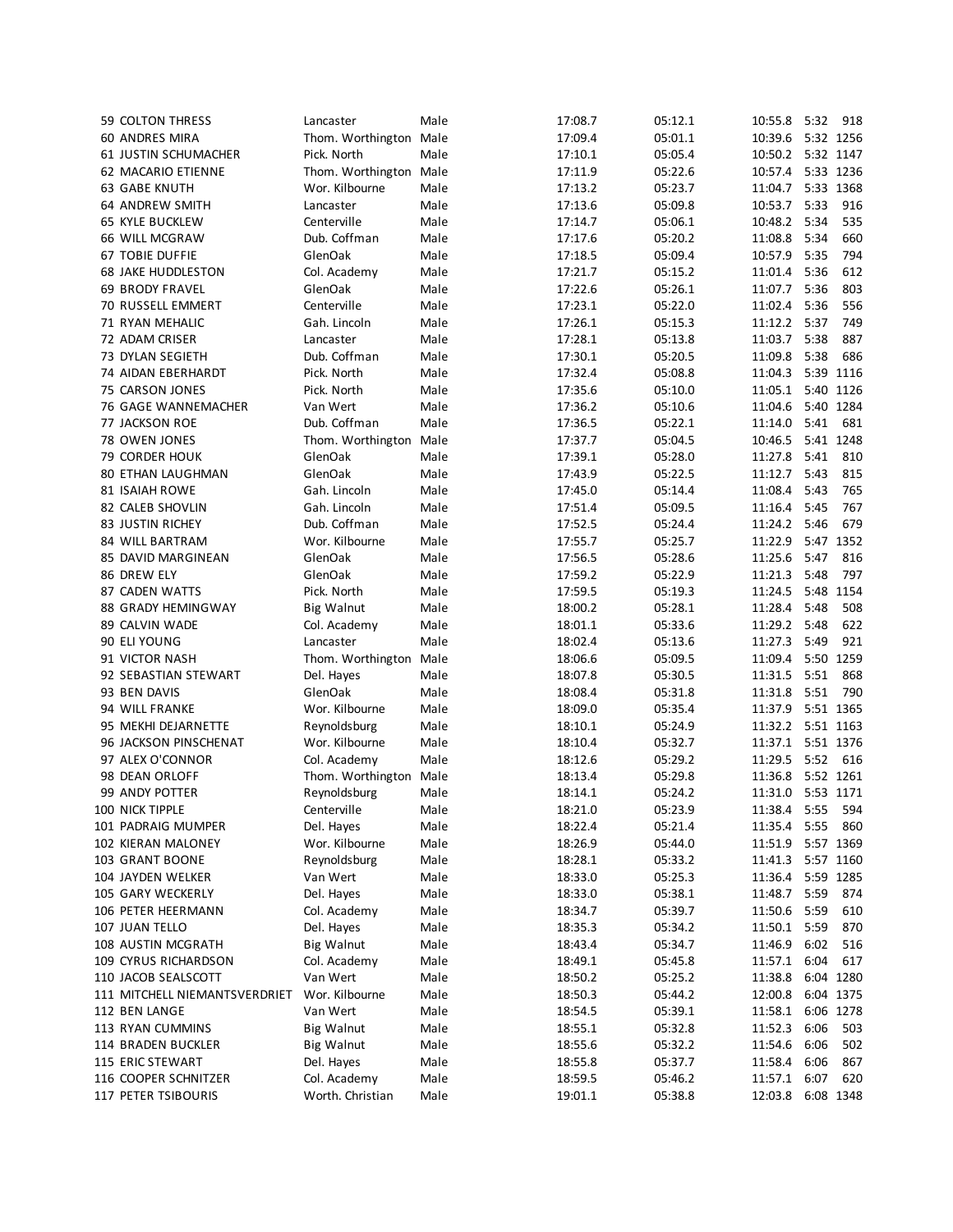| 59 COLTON THRESS              | Lancaster              | Male | 17:08.7 | 05:12.1 | 10:55.8           | 5:32      | 918       |
|-------------------------------|------------------------|------|---------|---------|-------------------|-----------|-----------|
| 60 ANDRES MIRA                | Thom. Worthington Male |      | 17:09.4 | 05:01.1 | 10:39.6 5:32 1256 |           |           |
| 61 JUSTIN SCHUMACHER          | Pick. North            | Male | 17:10.1 | 05:05.4 | 10:50.2 5:32 1147 |           |           |
| 62 MACARIO ETIENNE            | Thom. Worthington      | Male | 17:11.9 | 05:22.6 | 10:57.4           |           | 5:33 1236 |
| 63 GABE KNUTH                 | Wor. Kilbourne         | Male | 17:13.2 | 05:23.7 | 11:04.7           |           | 5:33 1368 |
| 64 ANDREW SMITH               | Lancaster              | Male | 17:13.6 | 05:09.8 | 10:53.7           | 5:33      | 916       |
| <b>65 KYLE BUCKLEW</b>        | Centerville            | Male | 17:14.7 | 05:06.1 | 10:48.2           | 5:34      | 535       |
|                               |                        |      |         |         |                   |           |           |
| 66 WILL MCGRAW                | Dub. Coffman           | Male | 17:17.6 | 05:20.2 | 11:08.8           | 5:34      | 660       |
| <b>67 TOBIE DUFFIE</b>        | GlenOak                | Male | 17:18.5 | 05:09.4 | 10:57.9           | 5:35      | 794       |
| <b>68 JAKE HUDDLESTON</b>     | Col. Academy           | Male | 17:21.7 | 05:15.2 | 11:01.4           | 5:36      | 612       |
| <b>69 BRODY FRAVEL</b>        | GlenOak                | Male | 17:22.6 | 05:26.1 | 11:07.7           | 5:36      | 803       |
| 70 RUSSELL EMMERT             | Centerville            | Male | 17:23.1 | 05:22.0 | 11:02.4           | 5:36      | 556       |
| 71 RYAN MEHALIC               | Gah. Lincoln           | Male | 17:26.1 | 05:15.3 | 11:12.2 5:37      |           | 749       |
| 72 ADAM CRISER                | Lancaster              | Male | 17:28.1 | 05:13.8 | 11:03.7           | 5:38      | 887       |
| 73 DYLAN SEGIETH              | Dub. Coffman           | Male | 17:30.1 | 05:20.5 | 11:09.8           | 5:38      | 686       |
| 74 AIDAN EBERHARDT            | Pick. North            | Male | 17:32.4 | 05:08.8 | 11:04.3           |           | 5:39 1116 |
| 75 CARSON JONES               | Pick. North            | Male | 17:35.6 | 05:10.0 | 11:05.1           |           | 5:40 1126 |
| 76 GAGE WANNEMACHER           | Van Wert               | Male | 17:36.2 | 05:10.6 | 11:04.6           |           | 5:40 1284 |
| 77 JACKSON ROE                | Dub. Coffman           | Male | 17:36.5 | 05:22.1 | 11:14.0           | 5:41      | 681       |
| 78 OWEN JONES                 | Thom. Worthington Male |      | 17:37.7 | 05:04.5 | 10:46.5           |           | 5:41 1248 |
| 79 CORDER HOUK                | GlenOak                | Male | 17:39.1 | 05:28.0 | 11:27.8           | 5:41      | 810       |
|                               |                        |      |         |         |                   | 5:43      |           |
| <b>80 ETHAN LAUGHMAN</b>      | GlenOak                | Male | 17:43.9 | 05:22.5 | 11:12.7           |           | 815       |
| <b>81 ISAIAH ROWE</b>         | Gah. Lincoln           | Male | 17:45.0 | 05:14.4 | 11:08.4           | 5:43      | 765       |
| 82 CALEB SHOVLIN              | Gah. Lincoln           | Male | 17:51.4 | 05:09.5 | 11:16.4           | 5:45      | 767       |
| 83 JUSTIN RICHEY              | Dub. Coffman           | Male | 17:52.5 | 05:24.4 | 11:24.2           | 5:46      | 679       |
| 84 WILL BARTRAM               | Wor. Kilbourne         | Male | 17:55.7 | 05:25.7 | 11:22.9           |           | 5:47 1352 |
| 85 DAVID MARGINEAN            | GlenOak                | Male | 17:56.5 | 05:28.6 | 11:25.6           | 5:47      | 816       |
| 86 DREW ELY                   | GlenOak                | Male | 17:59.2 | 05:22.9 | 11:21.3           | 5:48      | 797       |
| 87 CADEN WATTS                | Pick. North            | Male | 17:59.5 | 05:19.3 | 11:24.5           |           | 5:48 1154 |
| <b>88 GRADY HEMINGWAY</b>     | <b>Big Walnut</b>      | Male | 18:00.2 | 05:28.1 | 11:28.4           | 5:48      | 508       |
| 89 CALVIN WADE                | Col. Academy           | Male | 18:01.1 | 05:33.6 | 11:29.2           | 5:48      | 622       |
| 90 ELI YOUNG                  | Lancaster              | Male | 18:02.4 | 05:13.6 | 11:27.3           | 5:49      | 921       |
| 91 VICTOR NASH                | Thom. Worthington      | Male | 18:06.6 | 05:09.5 | 11:09.4           |           | 5:50 1259 |
| 92 SEBASTIAN STEWART          | Del. Hayes             | Male | 18:07.8 | 05:30.5 | 11:31.5           | 5:51      | 868       |
|                               | GlenOak                | Male |         | 05:31.8 | 11:31.8           | 5:51      | 790       |
| 93 BEN DAVIS                  |                        |      | 18:08.4 |         |                   |           |           |
| 94 WILL FRANKE                | Wor. Kilbourne         | Male | 18:09.0 | 05:35.4 | 11:37.9           | 5:51 1365 |           |
| 95 MEKHI DEJARNETTE           | Reynoldsburg           | Male | 18:10.1 | 05:24.9 | 11:32.2           | 5:51 1163 |           |
| 96 JACKSON PINSCHENAT         | Wor. Kilbourne         | Male | 18:10.4 | 05:32.7 | 11:37.1           | 5:51 1376 |           |
| 97 ALEX O'CONNOR              | Col. Academy           | Male | 18:12.6 | 05:29.2 | 11:29.5           | 5:52      | 616       |
| 98 DEAN ORLOFF                | Thom. Worthington      | Male | 18:13.4 | 05:29.8 | 11:36.8           | 5:52 1261 |           |
| 99 ANDY POTTER                | Reynoldsburg           | Male | 18:14.1 | 05:24.2 | 11:31.0           | 5:53 1171 |           |
| 100 NICK TIPPLE               | Centerville            | Male | 18:21.0 | 05:23.9 | 11:38.4 5:55 594  |           |           |
| 101 PADRAIG MUMPER            | Del. Hayes             | Male | 18:22.4 | 05:21.4 | 11:35.4 5:55      |           | 860       |
| 102 KIERAN MALONEY            | Wor. Kilbourne         | Male | 18:26.9 | 05:44.0 | 11:51.9           |           | 5:57 1369 |
| 103 GRANT BOONE               | Reynoldsburg           | Male | 18:28.1 | 05:33.2 | 11:41.3           | 5:57 1160 |           |
| 104 JAYDEN WELKER             | Van Wert               | Male | 18:33.0 | 05:25.3 | 11:36.4           | 5:59 1285 |           |
| 105 GARY WECKERLY             | Del. Hayes             | Male | 18:33.0 | 05:38.1 | 11:48.7           | 5:59      | 874       |
|                               | Col. Academy           |      |         |         | 11:50.6           | 5:59      | 610       |
| 106 PETER HEERMANN            |                        | Male | 18:34.7 | 05:39.7 |                   |           |           |
| 107 JUAN TELLO                | Del. Hayes             | Male | 18:35.3 | 05:34.2 | 11:50.1 5:59      |           | 870       |
| 108 AUSTIN MCGRATH            | <b>Big Walnut</b>      | Male | 18:43.4 | 05:34.7 | 11:46.9           | 6:02      | 516       |
| 109 CYRUS RICHARDSON          | Col. Academy           | Male | 18:49.1 | 05:45.8 | 11:57.1           | 6:04      | 617       |
| 110 JACOB SEALSCOTT           | Van Wert               | Male | 18:50.2 | 05:25.2 | 11:38.8           |           | 6:04 1280 |
| 111 MITCHELL NIEMANTSVERDRIET | Wor. Kilbourne         | Male | 18:50.3 | 05:44.2 | 12:00.8           |           | 6:04 1375 |
| 112 BEN LANGE                 | Van Wert               | Male | 18:54.5 | 05:39.1 | 11:58.1           |           | 6:06 1278 |
| 113 RYAN CUMMINS              | <b>Big Walnut</b>      | Male | 18:55.1 | 05:32.8 | 11:52.3           | 6:06      | 503       |
| 114 BRADEN BUCKLER            | <b>Big Walnut</b>      | Male | 18:55.6 | 05:32.2 | 11:54.6           | 6:06      | 502       |
| 115 ERIC STEWART              | Del. Hayes             | Male | 18:55.8 | 05:37.7 | 11:58.4           | 6:06      | 867       |
| 116 COOPER SCHNITZER          | Col. Academy           | Male | 18:59.5 | 05:46.2 | 11:57.1           | 6:07      | 620       |
| <b>117 PETER TSIBOURIS</b>    | Worth. Christian       | Male | 19:01.1 | 05:38.8 | 12:03.8           |           | 6:08 1348 |
|                               |                        |      |         |         |                   |           |           |